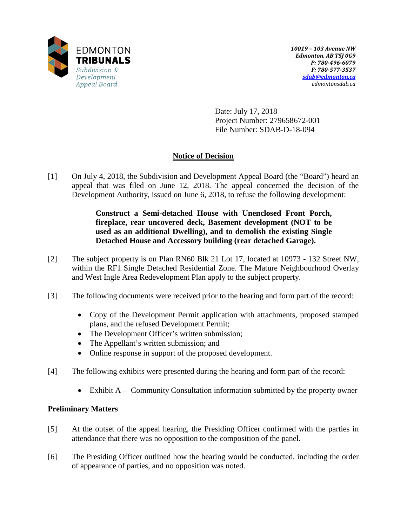

Date: July 17, 2018 Project Number: 279658672-001 File Number: SDAB-D-18-094

# **Notice of Decision**

[1] On July 4, 2018, the Subdivision and Development Appeal Board (the "Board") heard an appeal that was filed on June 12, 2018. The appeal concerned the decision of the Development Authority, issued on June 6, 2018, to refuse the following development:

> **Construct a Semi-detached House with Unenclosed Front Porch, fireplace, rear uncovered deck, Basement development (NOT to be used as an additional Dwelling), and to demolish the existing Single Detached House and Accessory building (rear detached Garage).**

- [2] The subject property is on Plan RN60 Blk 21 Lot 17, located at 10973 132 Street NW, within the RF1 Single Detached Residential Zone. The Mature Neighbourhood Overlay and West Ingle Area Redevelopment Plan apply to the subject property.
- [3] The following documents were received prior to the hearing and form part of the record:
	- Copy of the Development Permit application with attachments, proposed stamped plans, and the refused Development Permit;
	- The Development Officer's written submission;
	- The Appellant's written submission; and
	- Online response in support of the proposed development.
- [4] The following exhibits were presented during the hearing and form part of the record:
	- Exhibit A Community Consultation information submitted by the property owner

## **Preliminary Matters**

- [5] At the outset of the appeal hearing, the Presiding Officer confirmed with the parties in attendance that there was no opposition to the composition of the panel.
- [6] The Presiding Officer outlined how the hearing would be conducted, including the order of appearance of parties, and no opposition was noted.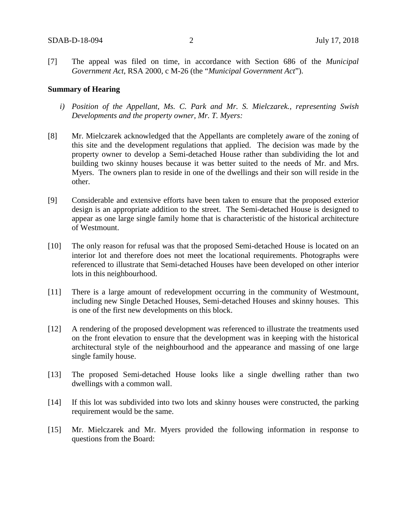[7] The appeal was filed on time, in accordance with Section 686 of the *Municipal Government Act*, RSA 2000, c M-26 (the "*Municipal Government Act*").

#### **Summary of Hearing**

- *i) Position of the Appellant, Ms. C. Park and Mr. S. Mielczarek., representing Swish Developments and the property owner, Mr. T. Myers:*
- [8] Mr. Mielczarek acknowledged that the Appellants are completely aware of the zoning of this site and the development regulations that applied. The decision was made by the property owner to develop a Semi-detached House rather than subdividing the lot and building two skinny houses because it was better suited to the needs of Mr. and Mrs. Myers. The owners plan to reside in one of the dwellings and their son will reside in the other.
- [9] Considerable and extensive efforts have been taken to ensure that the proposed exterior design is an appropriate addition to the street. The Semi-detached House is designed to appear as one large single family home that is characteristic of the historical architecture of Westmount.
- [10] The only reason for refusal was that the proposed Semi-detached House is located on an interior lot and therefore does not meet the locational requirements. Photographs were referenced to illustrate that Semi-detached Houses have been developed on other interior lots in this neighbourhood.
- [11] There is a large amount of redevelopment occurring in the community of Westmount, including new Single Detached Houses, Semi-detached Houses and skinny houses. This is one of the first new developments on this block.
- [12] A rendering of the proposed development was referenced to illustrate the treatments used on the front elevation to ensure that the development was in keeping with the historical architectural style of the neighbourhood and the appearance and massing of one large single family house.
- [13] The proposed Semi-detached House looks like a single dwelling rather than two dwellings with a common wall.
- [14] If this lot was subdivided into two lots and skinny houses were constructed, the parking requirement would be the same.
- [15] Mr. Mielczarek and Mr. Myers provided the following information in response to questions from the Board: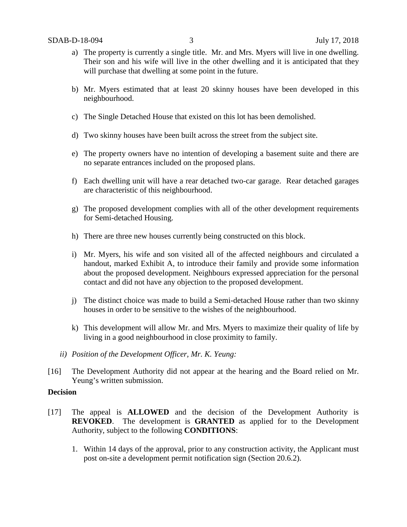- a) The property is currently a single title. Mr. and Mrs. Myers will live in one dwelling. Their son and his wife will live in the other dwelling and it is anticipated that they will purchase that dwelling at some point in the future.
- b) Mr. Myers estimated that at least 20 skinny houses have been developed in this neighbourhood.
- c) The Single Detached House that existed on this lot has been demolished.
- d) Two skinny houses have been built across the street from the subject site.
- e) The property owners have no intention of developing a basement suite and there are no separate entrances included on the proposed plans.
- f) Each dwelling unit will have a rear detached two-car garage. Rear detached garages are characteristic of this neighbourhood.
- g) The proposed development complies with all of the other development requirements for Semi-detached Housing.
- h) There are three new houses currently being constructed on this block.
- i) Mr. Myers, his wife and son visited all of the affected neighbours and circulated a handout, marked Exhibit A, to introduce their family and provide some information about the proposed development. Neighbours expressed appreciation for the personal contact and did not have any objection to the proposed development.
- j) The distinct choice was made to build a Semi-detached House rather than two skinny houses in order to be sensitive to the wishes of the neighbourhood.
- k) This development will allow Mr. and Mrs. Myers to maximize their quality of life by living in a good neighbourhood in close proximity to family.
- *ii) Position of the Development Officer, Mr. K. Yeung:*
- [16] The Development Authority did not appear at the hearing and the Board relied on Mr. Yeung's written submission.

## **Decision**

- [17] The appeal is **ALLOWED** and the decision of the Development Authority is **REVOKED**. The development is **GRANTED** as applied for to the Development Authority, subject to the following **CONDITIONS**:
	- 1. Within 14 days of the approval, prior to any construction activity, the Applicant must post on-site a development permit notification sign (Section 20.6.2).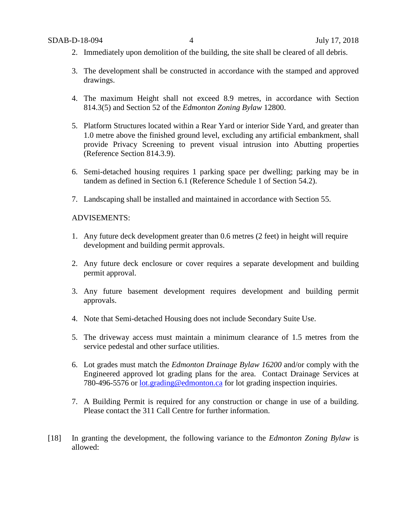- 2. Immediately upon demolition of the building, the site shall be cleared of all debris.
- 3. The development shall be constructed in accordance with the stamped and approved drawings.
- 4. The maximum Height shall not exceed 8.9 metres, in accordance with Section 814.3(5) and Section 52 of the *Edmonton Zoning Bylaw* 12800.
- 5. Platform Structures located within a Rear Yard or interior Side Yard, and greater than 1.0 metre above the finished ground level, excluding any artificial embankment, shall provide Privacy Screening to prevent visual intrusion into Abutting properties (Reference Section 814.3.9).
- 6. Semi-detached housing requires 1 parking space per dwelling; parking may be in tandem as defined in Section 6.1 (Reference Schedule 1 of Section 54.2).
- 7. Landscaping shall be installed and maintained in accordance with Section 55.

## ADVISEMENTS:

- 1. Any future deck development greater than 0.6 metres (2 feet) in height will require development and building permit approvals.
- 2. Any future deck enclosure or cover requires a separate development and building permit approval.
- 3. Any future basement development requires development and building permit approvals.
- 4. Note that Semi-detached Housing does not include Secondary Suite Use.
- 5. The driveway access must maintain a minimum clearance of 1.5 metres from the service pedestal and other surface utilities.
- 6. Lot grades must match the *Edmonton Drainage Bylaw 16200* and/or comply with the Engineered approved lot grading plans for the area. Contact Drainage Services at 780-496-5576 or [lot.grading@edmonton.ca](mailto:lot.grading@edmonton.ca) for lot grading inspection inquiries.
- 7. A Building Permit is required for any construction or change in use of a building. Please contact the 311 Call Centre for further information.
- [18] In granting the development, the following variance to the *Edmonton Zoning Bylaw* is allowed: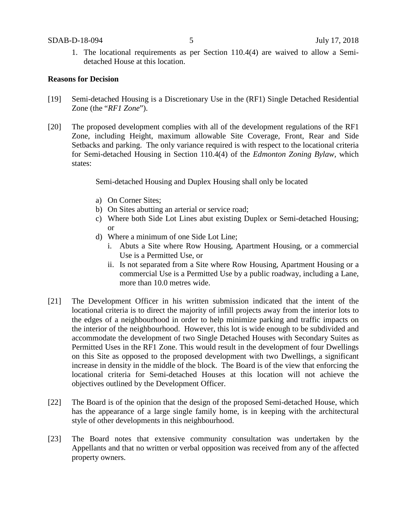1. The locational requirements as per Section 110.4(4) are waived to allow a Semidetached House at this location.

## **Reasons for Decision**

- [19] Semi-detached Housing is a Discretionary Use in the (RF1) Single Detached Residential Zone (the "*RF1 Zone*").
- [20] The proposed development complies with all of the development regulations of the RF1 Zone, including Height, maximum allowable Site Coverage, Front, Rear and Side Setbacks and parking. The only variance required is with respect to the locational criteria for Semi-detached Housing in Section 110.4(4) of the *Edmonton Zoning Bylaw,* which states:

Semi-detached Housing and Duplex Housing shall only be located

- a) On Corner Sites;
- b) On Sites abutting an arterial or service road;
- c) Where both Side Lot Lines abut existing Duplex or Semi-detached Housing; or
- d) Where a minimum of one Side Lot Line;
	- i. Abuts a Site where Row Housing, Apartment Housing, or a commercial Use is a Permitted Use, or
	- ii. Is not separated from a Site where Row Housing, Apartment Housing or a commercial Use is a Permitted Use by a public roadway, including a Lane, more than 10.0 metres wide.
- [21] The Development Officer in his written submission indicated that the intent of the locational criteria is to direct the majority of infill projects away from the interior lots to the edges of a neighbourhood in order to help minimize parking and traffic impacts on the interior of the neighbourhood. However, this lot is wide enough to be subdivided and accommodate the development of two Single Detached Houses with Secondary Suites as Permitted Uses in the RF1 Zone. This would result in the development of four Dwellings on this Site as opposed to the proposed development with two Dwellings, a significant increase in density in the middle of the block. The Board is of the view that enforcing the locational criteria for Semi-detached Houses at this location will not achieve the objectives outlined by the Development Officer.
- [22] The Board is of the opinion that the design of the proposed Semi-detached House, which has the appearance of a large single family home, is in keeping with the architectural style of other developments in this neighbourhood.
- [23] The Board notes that extensive community consultation was undertaken by the Appellants and that no written or verbal opposition was received from any of the affected property owners.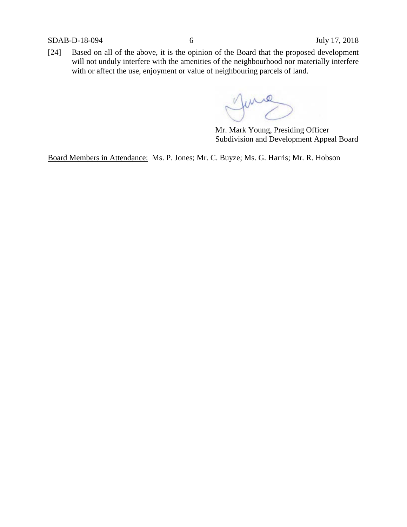SDAB-D-18-094 6 July 17, 2018

[24] Based on all of the above, it is the opinion of the Board that the proposed development will not unduly interfere with the amenities of the neighbourhood nor materially interfere with or affect the use, enjoyment or value of neighbouring parcels of land.

June

Mr. Mark Young, Presiding Officer Subdivision and Development Appeal Board

Board Members in Attendance: Ms. P. Jones; Mr. C. Buyze; Ms. G. Harris; Mr. R. Hobson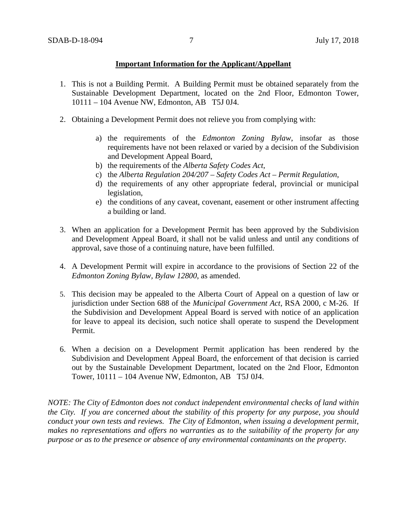## **Important Information for the Applicant/Appellant**

- 1. This is not a Building Permit. A Building Permit must be obtained separately from the Sustainable Development Department, located on the 2nd Floor, Edmonton Tower, 10111 – 104 Avenue NW, Edmonton, AB T5J 0J4.
- 2. Obtaining a Development Permit does not relieve you from complying with:
	- a) the requirements of the *Edmonton Zoning Bylaw*, insofar as those requirements have not been relaxed or varied by a decision of the Subdivision and Development Appeal Board,
	- b) the requirements of the *Alberta Safety Codes Act*,
	- c) the *Alberta Regulation 204/207 – Safety Codes Act – Permit Regulation*,
	- d) the requirements of any other appropriate federal, provincial or municipal legislation,
	- e) the conditions of any caveat, covenant, easement or other instrument affecting a building or land.
- 3. When an application for a Development Permit has been approved by the Subdivision and Development Appeal Board, it shall not be valid unless and until any conditions of approval, save those of a continuing nature, have been fulfilled.
- 4. A Development Permit will expire in accordance to the provisions of Section 22 of the *Edmonton Zoning Bylaw, Bylaw 12800*, as amended.
- 5. This decision may be appealed to the Alberta Court of Appeal on a question of law or jurisdiction under Section 688 of the *Municipal Government Act*, RSA 2000, c M-26. If the Subdivision and Development Appeal Board is served with notice of an application for leave to appeal its decision, such notice shall operate to suspend the Development Permit.
- 6. When a decision on a Development Permit application has been rendered by the Subdivision and Development Appeal Board, the enforcement of that decision is carried out by the Sustainable Development Department, located on the 2nd Floor, Edmonton Tower, 10111 – 104 Avenue NW, Edmonton, AB T5J 0J4.

*NOTE: The City of Edmonton does not conduct independent environmental checks of land within the City. If you are concerned about the stability of this property for any purpose, you should conduct your own tests and reviews. The City of Edmonton, when issuing a development permit, makes no representations and offers no warranties as to the suitability of the property for any purpose or as to the presence or absence of any environmental contaminants on the property.*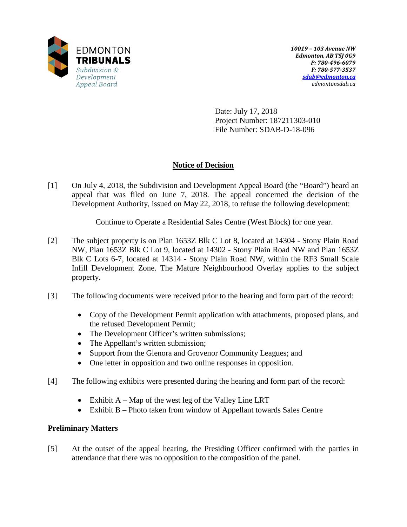

Date: July 17, 2018 Project Number: 187211303-010 File Number: SDAB-D-18-096

## **Notice of Decision**

[1] On July 4, 2018, the Subdivision and Development Appeal Board (the "Board") heard an appeal that was filed on June 7, 2018. The appeal concerned the decision of the Development Authority, issued on May 22, 2018, to refuse the following development:

Continue to Operate a Residential Sales Centre (West Block) for one year.

- [2] The subject property is on Plan 1653Z Blk C Lot 8, located at 14304 Stony Plain Road NW, Plan 1653Z Blk C Lot 9, located at 14302 - Stony Plain Road NW and Plan 1653Z Blk C Lots 6-7, located at 14314 - Stony Plain Road NW, within the RF3 Small Scale Infill Development Zone. The Mature Neighbourhood Overlay applies to the subject property.
- [3] The following documents were received prior to the hearing and form part of the record:
	- Copy of the Development Permit application with attachments, proposed plans, and the refused Development Permit;
	- The Development Officer's written submissions;
	- The Appellant's written submission;
	- Support from the Glenora and Grovenor Community Leagues; and
	- One letter in opposition and two online responses in opposition.
- [4] The following exhibits were presented during the hearing and form part of the record:
	- Exhibit A Map of the west leg of the Valley Line LRT
	- Exhibit B Photo taken from window of Appellant towards Sales Centre

## **Preliminary Matters**

[5] At the outset of the appeal hearing, the Presiding Officer confirmed with the parties in attendance that there was no opposition to the composition of the panel.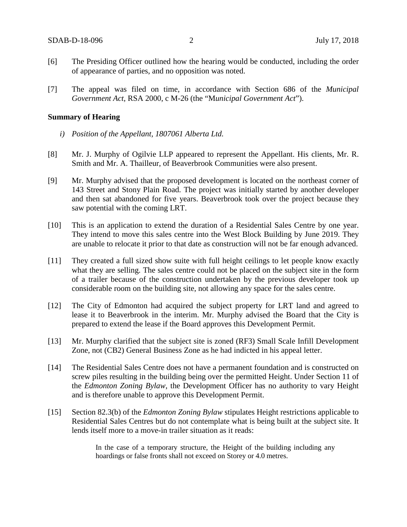- [6] The Presiding Officer outlined how the hearing would be conducted, including the order of appearance of parties, and no opposition was noted.
- [7] The appeal was filed on time, in accordance with Section 686 of the *Municipal Government Act*, RSA 2000, c M-26 (the "M*unicipal Government Act*").

#### **Summary of Hearing**

- *i) Position of the Appellant, 1807061 Alberta Ltd.*
- [8] Mr. J. Murphy of Ogilvie LLP appeared to represent the Appellant. His clients, Mr. R. Smith and Mr. A. Thailleur, of Beaverbrook Communities were also present.
- [9] Mr. Murphy advised that the proposed development is located on the northeast corner of 143 Street and Stony Plain Road. The project was initially started by another developer and then sat abandoned for five years. Beaverbrook took over the project because they saw potential with the coming LRT.
- [10] This is an application to extend the duration of a Residential Sales Centre by one year. They intend to move this sales centre into the West Block Building by June 2019. They are unable to relocate it prior to that date as construction will not be far enough advanced.
- [11] They created a full sized show suite with full height ceilings to let people know exactly what they are selling. The sales centre could not be placed on the subject site in the form of a trailer because of the construction undertaken by the previous developer took up considerable room on the building site, not allowing any space for the sales centre.
- [12] The City of Edmonton had acquired the subject property for LRT land and agreed to lease it to Beaverbrook in the interim. Mr. Murphy advised the Board that the City is prepared to extend the lease if the Board approves this Development Permit.
- [13] Mr. Murphy clarified that the subject site is zoned (RF3) Small Scale Infill Development Zone, not (CB2) General Business Zone as he had indicted in his appeal letter.
- [14] The Residential Sales Centre does not have a permanent foundation and is constructed on screw piles resulting in the building being over the permitted Height. Under Section 11 of the *Edmonton Zoning Bylaw*, the Development Officer has no authority to vary Height and is therefore unable to approve this Development Permit.
- [15] Section 82.3(b) of the *Edmonton Zoning Bylaw* stipulates Height restrictions applicable to Residential Sales Centres but do not contemplate what is being built at the subject site. It lends itself more to a move-in trailer situation as it reads:

In the case of a temporary structure, the Height of the building including any hoardings or false fronts shall not exceed on Storey or 4.0 metres.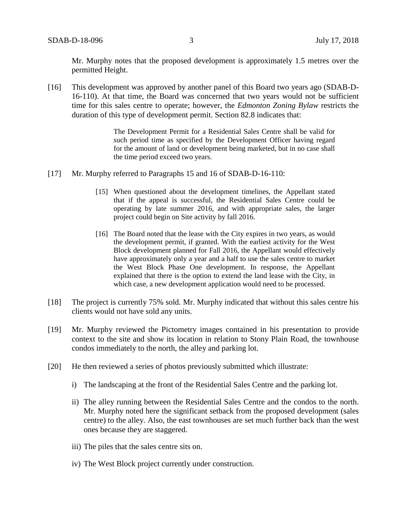Mr. Murphy notes that the proposed development is approximately 1.5 metres over the permitted Height.

[16] This development was approved by another panel of this Board two years ago (SDAB-D-16-110). At that time, the Board was concerned that two years would not be sufficient time for this sales centre to operate; however, the *Edmonton Zoning Bylaw* restricts the duration of this type of development permit. Section 82.8 indicates that:

> The Development Permit for a Residential Sales Centre shall be valid for such period time as specified by the Development Officer having regard for the amount of land or development being marketed, but in no case shall the time period exceed two years.

- [17] Mr. Murphy referred to Paragraphs 15 and 16 of SDAB-D-16-110:
	- [15] When questioned about the development timelines, the Appellant stated that if the appeal is successful, the Residential Sales Centre could be operating by late summer 2016, and with appropriate sales, the larger project could begin on Site activity by fall 2016.
	- [16] The Board noted that the lease with the City expires in two years, as would the development permit, if granted. With the earliest activity for the West Block development planned for Fall 2016, the Appellant would effectively have approximately only a year and a half to use the sales centre to market the West Block Phase One development. In response, the Appellant explained that there is the option to extend the land lease with the City, in which case, a new development application would need to be processed.
- [18] The project is currently 75% sold. Mr. Murphy indicated that without this sales centre his clients would not have sold any units.
- [19] Mr. Murphy reviewed the Pictometry images contained in his presentation to provide context to the site and show its location in relation to Stony Plain Road, the townhouse condos immediately to the north, the alley and parking lot.
- [20] He then reviewed a series of photos previously submitted which illustrate:
	- i) The landscaping at the front of the Residential Sales Centre and the parking lot.
	- ii) The alley running between the Residential Sales Centre and the condos to the north. Mr. Murphy noted here the significant setback from the proposed development (sales centre) to the alley. Also, the east townhouses are set much further back than the west ones because they are staggered.
	- iii) The piles that the sales centre sits on.
	- iv) The West Block project currently under construction.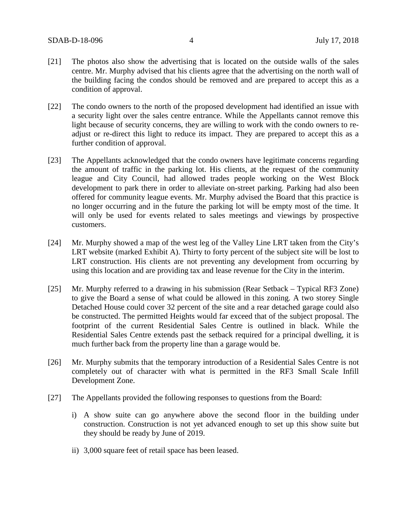- [21] The photos also show the advertising that is located on the outside walls of the sales centre. Mr. Murphy advised that his clients agree that the advertising on the north wall of the building facing the condos should be removed and are prepared to accept this as a condition of approval.
- [22] The condo owners to the north of the proposed development had identified an issue with a security light over the sales centre entrance. While the Appellants cannot remove this light because of security concerns, they are willing to work with the condo owners to readjust or re-direct this light to reduce its impact. They are prepared to accept this as a further condition of approval.
- [23] The Appellants acknowledged that the condo owners have legitimate concerns regarding the amount of traffic in the parking lot. His clients, at the request of the community league and City Council, had allowed trades people working on the West Block development to park there in order to alleviate on-street parking. Parking had also been offered for community league events. Mr. Murphy advised the Board that this practice is no longer occurring and in the future the parking lot will be empty most of the time. It will only be used for events related to sales meetings and viewings by prospective customers.
- [24] Mr. Murphy showed a map of the west leg of the Valley Line LRT taken from the City's LRT website (marked Exhibit A). Thirty to forty percent of the subject site will be lost to LRT construction. His clients are not preventing any development from occurring by using this location and are providing tax and lease revenue for the City in the interim.
- [25] Mr. Murphy referred to a drawing in his submission (Rear Setback Typical RF3 Zone) to give the Board a sense of what could be allowed in this zoning. A two storey Single Detached House could cover 32 percent of the site and a rear detached garage could also be constructed. The permitted Heights would far exceed that of the subject proposal. The footprint of the current Residential Sales Centre is outlined in black. While the Residential Sales Centre extends past the setback required for a principal dwelling, it is much further back from the property line than a garage would be.
- [26] Mr. Murphy submits that the temporary introduction of a Residential Sales Centre is not completely out of character with what is permitted in the RF3 Small Scale Infill Development Zone.
- [27] The Appellants provided the following responses to questions from the Board:
	- i) A show suite can go anywhere above the second floor in the building under construction. Construction is not yet advanced enough to set up this show suite but they should be ready by June of 2019.
	- ii) 3,000 square feet of retail space has been leased.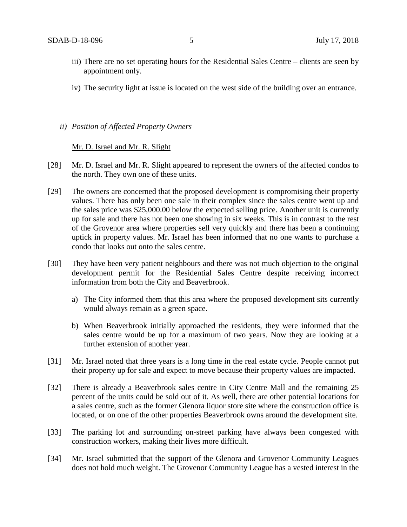- iii) There are no set operating hours for the Residential Sales Centre clients are seen by appointment only.
- iv) The security light at issue is located on the west side of the building over an entrance.

*ii) Position of Affected Property Owners* 

Mr. D. Israel and Mr. R. Slight

- [28] Mr. D. Israel and Mr. R. Slight appeared to represent the owners of the affected condos to the north. They own one of these units.
- [29] The owners are concerned that the proposed development is compromising their property values. There has only been one sale in their complex since the sales centre went up and the sales price was \$25,000.00 below the expected selling price. Another unit is currently up for sale and there has not been one showing in six weeks. This is in contrast to the rest of the Grovenor area where properties sell very quickly and there has been a continuing uptick in property values. Mr. Israel has been informed that no one wants to purchase a condo that looks out onto the sales centre.
- [30] They have been very patient neighbours and there was not much objection to the original development permit for the Residential Sales Centre despite receiving incorrect information from both the City and Beaverbrook.
	- a) The City informed them that this area where the proposed development sits currently would always remain as a green space.
	- b) When Beaverbrook initially approached the residents, they were informed that the sales centre would be up for a maximum of two years. Now they are looking at a further extension of another year.
- [31] Mr. Israel noted that three years is a long time in the real estate cycle. People cannot put their property up for sale and expect to move because their property values are impacted.
- [32] There is already a Beaverbrook sales centre in City Centre Mall and the remaining 25 percent of the units could be sold out of it. As well, there are other potential locations for a sales centre, such as the former Glenora liquor store site where the construction office is located, or on one of the other properties Beaverbrook owns around the development site.
- [33] The parking lot and surrounding on-street parking have always been congested with construction workers, making their lives more difficult.
- [34] Mr. Israel submitted that the support of the Glenora and Grovenor Community Leagues does not hold much weight. The Grovenor Community League has a vested interest in the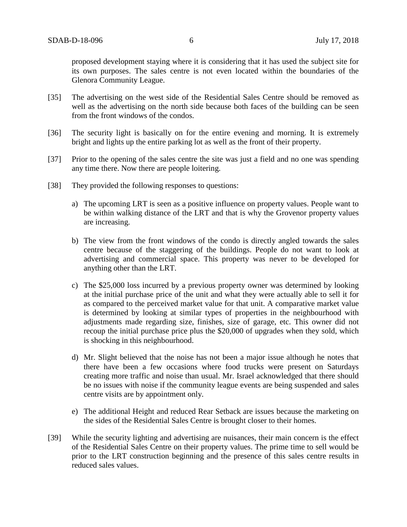proposed development staying where it is considering that it has used the subject site for its own purposes. The sales centre is not even located within the boundaries of the Glenora Community League.

- [35] The advertising on the west side of the Residential Sales Centre should be removed as well as the advertising on the north side because both faces of the building can be seen from the front windows of the condos.
- [36] The security light is basically on for the entire evening and morning. It is extremely bright and lights up the entire parking lot as well as the front of their property.
- [37] Prior to the opening of the sales centre the site was just a field and no one was spending any time there. Now there are people loitering.
- [38] They provided the following responses to questions:
	- a) The upcoming LRT is seen as a positive influence on property values. People want to be within walking distance of the LRT and that is why the Grovenor property values are increasing.
	- b) The view from the front windows of the condo is directly angled towards the sales centre because of the staggering of the buildings. People do not want to look at advertising and commercial space. This property was never to be developed for anything other than the LRT.
	- c) The \$25,000 loss incurred by a previous property owner was determined by looking at the initial purchase price of the unit and what they were actually able to sell it for as compared to the perceived market value for that unit. A comparative market value is determined by looking at similar types of properties in the neighbourhood with adjustments made regarding size, finishes, size of garage, etc. This owner did not recoup the initial purchase price plus the \$20,000 of upgrades when they sold, which is shocking in this neighbourhood.
	- d) Mr. Slight believed that the noise has not been a major issue although he notes that there have been a few occasions where food trucks were present on Saturdays creating more traffic and noise than usual. Mr. Israel acknowledged that there should be no issues with noise if the community league events are being suspended and sales centre visits are by appointment only.
	- e) The additional Height and reduced Rear Setback are issues because the marketing on the sides of the Residential Sales Centre is brought closer to their homes.
- [39] While the security lighting and advertising are nuisances, their main concern is the effect of the Residential Sales Centre on their property values. The prime time to sell would be prior to the LRT construction beginning and the presence of this sales centre results in reduced sales values.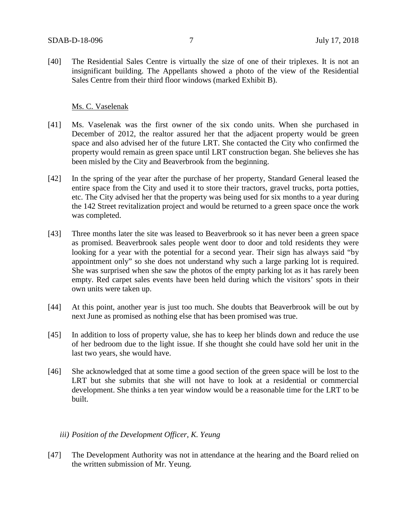[40] The Residential Sales Centre is virtually the size of one of their triplexes. It is not an insignificant building. The Appellants showed a photo of the view of the Residential Sales Centre from their third floor windows (marked Exhibit B).

## Ms. C. Vaselenak

- [41] Ms. Vaselenak was the first owner of the six condo units. When she purchased in December of 2012, the realtor assured her that the adjacent property would be green space and also advised her of the future LRT. She contacted the City who confirmed the property would remain as green space until LRT construction began. She believes she has been misled by the City and Beaverbrook from the beginning.
- [42] In the spring of the year after the purchase of her property, Standard General leased the entire space from the City and used it to store their tractors, gravel trucks, porta potties, etc. The City advised her that the property was being used for six months to a year during the 142 Street revitalization project and would be returned to a green space once the work was completed.
- [43] Three months later the site was leased to Beaverbrook so it has never been a green space as promised. Beaverbrook sales people went door to door and told residents they were looking for a year with the potential for a second year. Their sign has always said "by appointment only" so she does not understand why such a large parking lot is required. She was surprised when she saw the photos of the empty parking lot as it has rarely been empty. Red carpet sales events have been held during which the visitors' spots in their own units were taken up.
- [44] At this point, another year is just too much. She doubts that Beaverbrook will be out by next June as promised as nothing else that has been promised was true.
- [45] In addition to loss of property value, she has to keep her blinds down and reduce the use of her bedroom due to the light issue. If she thought she could have sold her unit in the last two years, she would have.
- [46] She acknowledged that at some time a good section of the green space will be lost to the LRT but she submits that she will not have to look at a residential or commercial development. She thinks a ten year window would be a reasonable time for the LRT to be built.

## *iii) Position of the Development Officer, K. Yeung*

[47] The Development Authority was not in attendance at the hearing and the Board relied on the written submission of Mr. Yeung.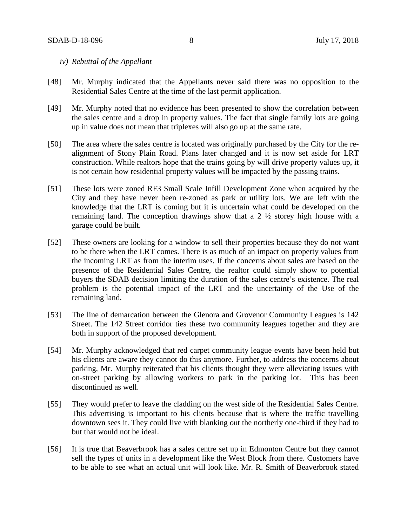## *iv) Rebuttal of the Appellant*

- [48] Mr. Murphy indicated that the Appellants never said there was no opposition to the Residential Sales Centre at the time of the last permit application.
- [49] Mr. Murphy noted that no evidence has been presented to show the correlation between the sales centre and a drop in property values. The fact that single family lots are going up in value does not mean that triplexes will also go up at the same rate.
- [50] The area where the sales centre is located was originally purchased by the City for the realignment of Stony Plain Road. Plans later changed and it is now set aside for LRT construction. While realtors hope that the trains going by will drive property values up, it is not certain how residential property values will be impacted by the passing trains.
- [51] These lots were zoned RF3 Small Scale Infill Development Zone when acquired by the City and they have never been re-zoned as park or utility lots. We are left with the knowledge that the LRT is coming but it is uncertain what could be developed on the remaining land. The conception drawings show that a 2 ½ storey high house with a garage could be built.
- [52] These owners are looking for a window to sell their properties because they do not want to be there when the LRT comes. There is as much of an impact on property values from the incoming LRT as from the interim uses. If the concerns about sales are based on the presence of the Residential Sales Centre, the realtor could simply show to potential buyers the SDAB decision limiting the duration of the sales centre's existence. The real problem is the potential impact of the LRT and the uncertainty of the Use of the remaining land.
- [53] The line of demarcation between the Glenora and Grovenor Community Leagues is 142 Street. The 142 Street corridor ties these two community leagues together and they are both in support of the proposed development.
- [54] Mr. Murphy acknowledged that red carpet community league events have been held but his clients are aware they cannot do this anymore. Further, to address the concerns about parking, Mr. Murphy reiterated that his clients thought they were alleviating issues with on-street parking by allowing workers to park in the parking lot. This has been discontinued as well.
- [55] They would prefer to leave the cladding on the west side of the Residential Sales Centre. This advertising is important to his clients because that is where the traffic travelling downtown sees it. They could live with blanking out the northerly one-third if they had to but that would not be ideal.
- [56] It is true that Beaverbrook has a sales centre set up in Edmonton Centre but they cannot sell the types of units in a development like the West Block from there. Customers have to be able to see what an actual unit will look like. Mr. R. Smith of Beaverbrook stated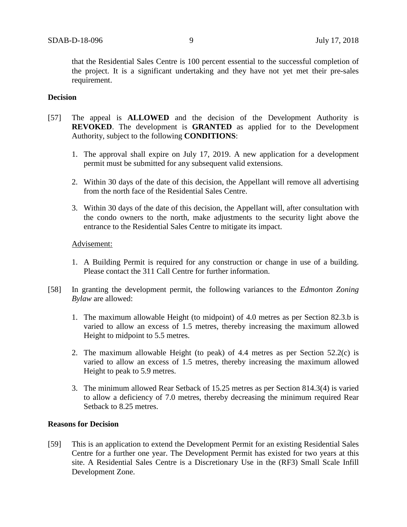that the Residential Sales Centre is 100 percent essential to the successful completion of the project. It is a significant undertaking and they have not yet met their pre-sales requirement.

## **Decision**

- [57] The appeal is **ALLOWED** and the decision of the Development Authority is **REVOKED**. The development is **GRANTED** as applied for to the Development Authority, subject to the following **CONDITIONS**:
	- 1. The approval shall expire on July 17, 2019. A new application for a development permit must be submitted for any subsequent valid extensions.
	- 2. Within 30 days of the date of this decision, the Appellant will remove all advertising from the north face of the Residential Sales Centre.
	- 3. Within 30 days of the date of this decision, the Appellant will, after consultation with the condo owners to the north, make adjustments to the security light above the entrance to the Residential Sales Centre to mitigate its impact.

## Advisement:

- 1. A Building Permit is required for any construction or change in use of a building. Please contact the 311 Call Centre for further information.
- [58] In granting the development permit, the following variances to the *Edmonton Zoning Bylaw* are allowed:
	- 1. The maximum allowable Height (to midpoint) of 4.0 metres as per Section 82.3.b is varied to allow an excess of 1.5 metres, thereby increasing the maximum allowed Height to midpoint to 5.5 metres.
	- 2. The maximum allowable Height (to peak) of 4.4 metres as per Section 52.2(c) is varied to allow an excess of 1.5 metres, thereby increasing the maximum allowed Height to peak to 5.9 metres.
	- 3. The minimum allowed Rear Setback of 15.25 metres as per Section 814.3(4) is varied to allow a deficiency of 7.0 metres, thereby decreasing the minimum required Rear Setback to 8.25 metres.

## **Reasons for Decision**

[59] This is an application to extend the Development Permit for an existing Residential Sales Centre for a further one year. The Development Permit has existed for two years at this site. A Residential Sales Centre is a Discretionary Use in the (RF3) Small Scale Infill Development Zone.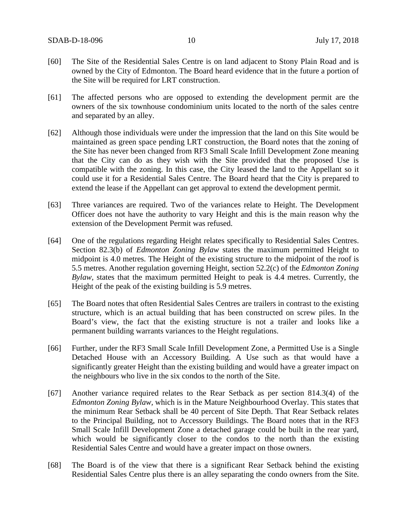- [60] The Site of the Residential Sales Centre is on land adjacent to Stony Plain Road and is owned by the City of Edmonton. The Board heard evidence that in the future a portion of the Site will be required for LRT construction.
- [61] The affected persons who are opposed to extending the development permit are the owners of the six townhouse condominium units located to the north of the sales centre and separated by an alley.
- [62] Although those individuals were under the impression that the land on this Site would be maintained as green space pending LRT construction, the Board notes that the zoning of the Site has never been changed from RF3 Small Scale Infill Development Zone meaning that the City can do as they wish with the Site provided that the proposed Use is compatible with the zoning. In this case, the City leased the land to the Appellant so it could use it for a Residential Sales Centre. The Board heard that the City is prepared to extend the lease if the Appellant can get approval to extend the development permit.
- [63] Three variances are required. Two of the variances relate to Height. The Development Officer does not have the authority to vary Height and this is the main reason why the extension of the Development Permit was refused.
- [64] One of the regulations regarding Height relates specifically to Residential Sales Centres. Section 82.3(b) of *Edmonton Zoning Bylaw* states the maximum permitted Height to midpoint is 4.0 metres. The Height of the existing structure to the midpoint of the roof is 5.5 metres. Another regulation governing Height, section 52.2(c) of the *Edmonton Zoning Bylaw,* states that the maximum permitted Height to peak is 4.4 metres. Currently, the Height of the peak of the existing building is 5.9 metres.
- [65] The Board notes that often Residential Sales Centres are trailers in contrast to the existing structure, which is an actual building that has been constructed on screw piles. In the Board's view, the fact that the existing structure is not a trailer and looks like a permanent building warrants variances to the Height regulations.
- [66] Further, under the RF3 Small Scale Infill Development Zone, a Permitted Use is a Single Detached House with an Accessory Building. A Use such as that would have a significantly greater Height than the existing building and would have a greater impact on the neighbours who live in the six condos to the north of the Site.
- [67] Another variance required relates to the Rear Setback as per section 814.3(4) of the *Edmonton Zoning Bylaw,* which is in the Mature Neighbourhood Overlay. This states that the minimum Rear Setback shall be 40 percent of Site Depth. That Rear Setback relates to the Principal Building, not to Accessory Buildings. The Board notes that in the RF3 Small Scale Infill Development Zone a detached garage could be built in the rear yard, which would be significantly closer to the condos to the north than the existing Residential Sales Centre and would have a greater impact on those owners.
- [68] The Board is of the view that there is a significant Rear Setback behind the existing Residential Sales Centre plus there is an alley separating the condo owners from the Site.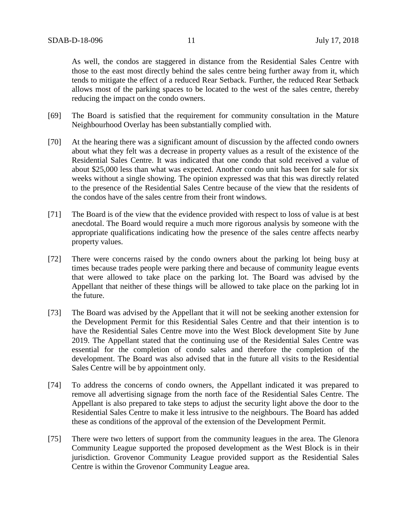As well, the condos are staggered in distance from the Residential Sales Centre with those to the east most directly behind the sales centre being further away from it, which tends to mitigate the effect of a reduced Rear Setback. Further, the reduced Rear Setback allows most of the parking spaces to be located to the west of the sales centre, thereby reducing the impact on the condo owners.

- [69] The Board is satisfied that the requirement for community consultation in the Mature Neighbourhood Overlay has been substantially complied with.
- [70] At the hearing there was a significant amount of discussion by the affected condo owners about what they felt was a decrease in property values as a result of the existence of the Residential Sales Centre. It was indicated that one condo that sold received a value of about \$25,000 less than what was expected. Another condo unit has been for sale for six weeks without a single showing. The opinion expressed was that this was directly related to the presence of the Residential Sales Centre because of the view that the residents of the condos have of the sales centre from their front windows.
- [71] The Board is of the view that the evidence provided with respect to loss of value is at best anecdotal. The Board would require a much more rigorous analysis by someone with the appropriate qualifications indicating how the presence of the sales centre affects nearby property values.
- [72] There were concerns raised by the condo owners about the parking lot being busy at times because trades people were parking there and because of community league events that were allowed to take place on the parking lot. The Board was advised by the Appellant that neither of these things will be allowed to take place on the parking lot in the future.
- [73] The Board was advised by the Appellant that it will not be seeking another extension for the Development Permit for this Residential Sales Centre and that their intention is to have the Residential Sales Centre move into the West Block development Site by June 2019. The Appellant stated that the continuing use of the Residential Sales Centre was essential for the completion of condo sales and therefore the completion of the development. The Board was also advised that in the future all visits to the Residential Sales Centre will be by appointment only.
- [74] To address the concerns of condo owners, the Appellant indicated it was prepared to remove all advertising signage from the north face of the Residential Sales Centre. The Appellant is also prepared to take steps to adjust the security light above the door to the Residential Sales Centre to make it less intrusive to the neighbours. The Board has added these as conditions of the approval of the extension of the Development Permit.
- [75] There were two letters of support from the community leagues in the area. The Glenora Community League supported the proposed development as the West Block is in their jurisdiction. Grovenor Community League provided support as the Residential Sales Centre is within the Grovenor Community League area.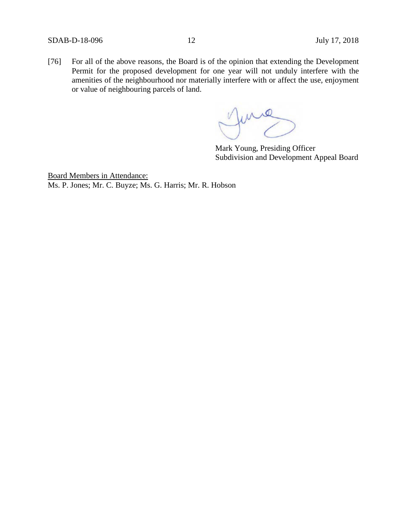[76] For all of the above reasons, the Board is of the opinion that extending the Development Permit for the proposed development for one year will not unduly interfere with the amenities of the neighbourhood nor materially interfere with or affect the use, enjoyment or value of neighbouring parcels of land.

June

Mark Young, Presiding Officer Subdivision and Development Appeal Board

Board Members in Attendance: Ms. P. Jones; Mr. C. Buyze; Ms. G. Harris; Mr. R. Hobson